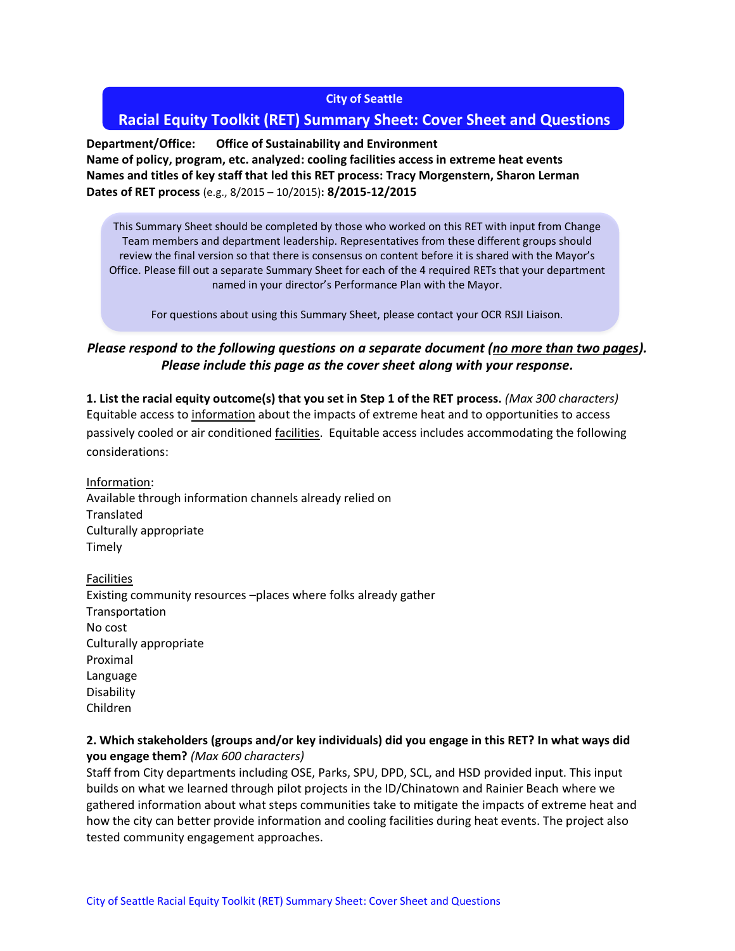#### **City of Seattle**

# **Racial Equity Toolkit (RET) Summary Sheet: Cover Sheet and Questions**

**Department/Office: Office of Sustainability and Environment Name of policy, program, etc. analyzed: cooling facilities access in extreme heat events Names and titles of key staff that led this RET process: Tracy Morgenstern, Sharon Lerman Dates of RET process** (e.g., 8/2015 – 10/2015)**: 8/2015-12/2015** 

This Summary Sheet should be completed by those who worked on this RET with input from Change Team members and department leadership. Representatives from these different groups should review the final version so that there is consensus on content before it is shared with the Mayor's Office. Please fill out a separate Summary Sheet for each of the 4 required RETs that your department named in your director's Performance Plan with the Mayor.

For questions about using this Summary Sheet, please contact your OCR RSJI Liaison.

## Please respond to the following questions on a separate document (no more than two pages). *Please include this page as the cover sheet along with your response.*

**1. List the racial equity outcome(s) that you set in Step 1 of the RET process.** *(Max 300 characters)* Equitable access to information about the impacts of extreme heat and to opportunities to access passively cooled or air conditioned facilities. Equitable access includes accommodating the following considerations:

Information: Available through information channels already relied on **Translated** Culturally appropriate Timely

Facilities Existing community resources –places where folks already gather Transportation No cost Culturally appropriate Proximal Language Disability Children

#### **2. Which stakeholders (groups and/or key individuals) did you engage in this RET? In what ways did you engage them?** *(Max 600 characters)*

Staff from City departments including OSE, Parks, SPU, DPD, SCL, and HSD provided input. This input builds on what we learned through pilot projects in the ID/Chinatown and Rainier Beach where we gathered information about what steps communities take to mitigate the impacts of extreme heat and how the city can better provide information and cooling facilities during heat events. The project also tested community engagement approaches.